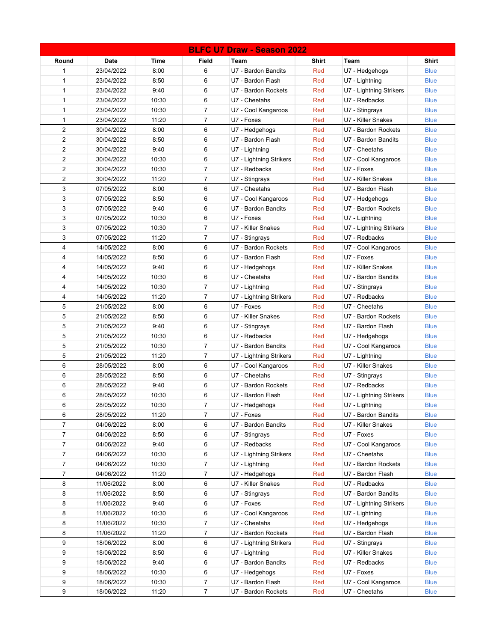| Round<br><b>Date</b><br>Time<br>Field<br>Shirt<br>Shirt<br>Team<br>Team<br>6<br>1<br>23/04/2022<br>8:00<br>U7 - Bardon Bandits<br>Red<br>U7 - Hedgehogs<br><b>Blue</b><br>6<br>1<br>23/04/2022<br>8:50<br>U7 - Bardon Flash<br>Red<br><b>Blue</b><br>U7 - Lightning<br>6<br>$\mathbf{1}$<br>23/04/2022<br>9:40<br>U7 - Bardon Rockets<br><b>Blue</b><br>Red<br>U7 - Lightning Strikers<br>6<br>$\mathbf{1}$<br>23/04/2022<br>10:30<br>U7 - Cheetahs<br>Red<br><b>Blue</b><br>U7 - Redbacks<br>$\overline{7}$<br>$\mathbf{1}$<br>23/04/2022<br>10:30<br><b>Blue</b><br>U7 - Cool Kangaroos<br>Red<br>U7 - Stingrays<br>$\mathbf{1}$<br>11:20<br>23/04/2022<br>7<br>U7 - Foxes<br>U7 - Killer Snakes<br><b>Blue</b><br>Red<br>$\overline{2}$<br>8:00<br>6<br><b>Blue</b><br>30/04/2022<br>U7 - Hedgehogs<br>Red<br>U7 - Bardon Rockets<br>$\overline{2}$<br>8:50<br>6<br>30/04/2022<br>U7 - Bardon Flash<br><b>Blue</b><br>Red<br>U7 - Bardon Bandits<br>$\overline{2}$<br>6<br>30/04/2022<br>9:40<br>U7 - Cheetahs<br><b>Blue</b><br>U7 - Lightning<br>Red<br>$\overline{2}$<br>6<br>30/04/2022<br>10:30<br><b>Blue</b><br>U7 - Lightning Strikers<br>Red<br>U7 - Cool Kangaroos<br>$\overline{2}$<br>7<br>30/04/2022<br>10:30<br>Red<br>U7 - Foxes<br><b>Blue</b><br>U7 - Redbacks<br>$\overline{2}$<br>30/04/2022<br>11:20<br>7<br>Red<br>U7 - Killer Snakes<br><b>Blue</b><br>U7 - Stingrays<br>3<br>6<br>07/05/2022<br>8:00<br>U7 - Cheetahs<br>Red<br>U7 - Bardon Flash<br><b>Blue</b><br>3<br>6<br>07/05/2022<br>8:50<br><b>Blue</b><br>U7 - Cool Kangaroos<br>Red<br>U7 - Hedgehogs<br>3<br>6<br>07/05/2022<br>9:40<br>U7 - Bardon Bandits<br>U7 - Bardon Rockets<br><b>Blue</b><br>Red<br>3<br>6<br>07/05/2022<br>10:30<br>U7 - Foxes<br>Red<br>U7 - Lightning<br><b>Blue</b><br>3<br>07/05/2022<br>10:30<br>7<br>U7 - Killer Snakes<br>Red<br><b>Blue</b><br>U7 - Lightning Strikers<br>3<br>11:20<br>7<br>07/05/2022<br>Red<br>U7 - Redbacks<br><b>Blue</b><br>U7 - Stingrays<br>$\overline{4}$<br>8:00<br>6<br>14/05/2022<br>U7 - Bardon Rockets<br>Red<br><b>Blue</b><br>U7 - Cool Kangaroos<br>4<br>6<br>14/05/2022<br>8:50<br>U7 - Bardon Flash<br>U7 - Foxes<br><b>Blue</b><br>Red<br>6<br>4<br>14/05/2022<br>9:40<br>U7 - Killer Snakes<br><b>Blue</b><br>U7 - Hedgehogs<br>Red<br>6<br>4<br>14/05/2022<br>10:30<br>U7 - Cheetahs<br>Red<br><b>Blue</b><br>U7 - Bardon Bandits<br>4<br>14/05/2022<br>10:30<br>7<br>U7 - Lightning<br>Red<br><b>Blue</b><br>U7 - Stingrays<br>7<br>4<br>14/05/2022<br>11:20<br>Red<br>U7 - Redbacks<br><b>Blue</b><br>U7 - Lightning Strikers<br>5<br>6<br>21/05/2022<br>8:00<br>U7 - Foxes<br>Red<br>U7 - Cheetahs<br><b>Blue</b><br>5<br>8:50<br>21/05/2022<br>6<br>U7 - Killer Snakes<br>U7 - Bardon Rockets<br><b>Blue</b><br>Red | <b>BLFC U7 Draw - Season 2022</b> |  |  |  |  |  |  |  |  |  |
|-------------------------------------------------------------------------------------------------------------------------------------------------------------------------------------------------------------------------------------------------------------------------------------------------------------------------------------------------------------------------------------------------------------------------------------------------------------------------------------------------------------------------------------------------------------------------------------------------------------------------------------------------------------------------------------------------------------------------------------------------------------------------------------------------------------------------------------------------------------------------------------------------------------------------------------------------------------------------------------------------------------------------------------------------------------------------------------------------------------------------------------------------------------------------------------------------------------------------------------------------------------------------------------------------------------------------------------------------------------------------------------------------------------------------------------------------------------------------------------------------------------------------------------------------------------------------------------------------------------------------------------------------------------------------------------------------------------------------------------------------------------------------------------------------------------------------------------------------------------------------------------------------------------------------------------------------------------------------------------------------------------------------------------------------------------------------------------------------------------------------------------------------------------------------------------------------------------------------------------------------------------------------------------------------------------------------------------------------------------------------------------------------------------------------------------------------------------------------------------------------------------------------------------------------------------------------------------------------------------------------------------------------------------------------------------------------------------------------------------------------------------------------------------|-----------------------------------|--|--|--|--|--|--|--|--|--|
|                                                                                                                                                                                                                                                                                                                                                                                                                                                                                                                                                                                                                                                                                                                                                                                                                                                                                                                                                                                                                                                                                                                                                                                                                                                                                                                                                                                                                                                                                                                                                                                                                                                                                                                                                                                                                                                                                                                                                                                                                                                                                                                                                                                                                                                                                                                                                                                                                                                                                                                                                                                                                                                                                                                                                                                     |                                   |  |  |  |  |  |  |  |  |  |
|                                                                                                                                                                                                                                                                                                                                                                                                                                                                                                                                                                                                                                                                                                                                                                                                                                                                                                                                                                                                                                                                                                                                                                                                                                                                                                                                                                                                                                                                                                                                                                                                                                                                                                                                                                                                                                                                                                                                                                                                                                                                                                                                                                                                                                                                                                                                                                                                                                                                                                                                                                                                                                                                                                                                                                                     |                                   |  |  |  |  |  |  |  |  |  |
|                                                                                                                                                                                                                                                                                                                                                                                                                                                                                                                                                                                                                                                                                                                                                                                                                                                                                                                                                                                                                                                                                                                                                                                                                                                                                                                                                                                                                                                                                                                                                                                                                                                                                                                                                                                                                                                                                                                                                                                                                                                                                                                                                                                                                                                                                                                                                                                                                                                                                                                                                                                                                                                                                                                                                                                     |                                   |  |  |  |  |  |  |  |  |  |
|                                                                                                                                                                                                                                                                                                                                                                                                                                                                                                                                                                                                                                                                                                                                                                                                                                                                                                                                                                                                                                                                                                                                                                                                                                                                                                                                                                                                                                                                                                                                                                                                                                                                                                                                                                                                                                                                                                                                                                                                                                                                                                                                                                                                                                                                                                                                                                                                                                                                                                                                                                                                                                                                                                                                                                                     |                                   |  |  |  |  |  |  |  |  |  |
|                                                                                                                                                                                                                                                                                                                                                                                                                                                                                                                                                                                                                                                                                                                                                                                                                                                                                                                                                                                                                                                                                                                                                                                                                                                                                                                                                                                                                                                                                                                                                                                                                                                                                                                                                                                                                                                                                                                                                                                                                                                                                                                                                                                                                                                                                                                                                                                                                                                                                                                                                                                                                                                                                                                                                                                     |                                   |  |  |  |  |  |  |  |  |  |
|                                                                                                                                                                                                                                                                                                                                                                                                                                                                                                                                                                                                                                                                                                                                                                                                                                                                                                                                                                                                                                                                                                                                                                                                                                                                                                                                                                                                                                                                                                                                                                                                                                                                                                                                                                                                                                                                                                                                                                                                                                                                                                                                                                                                                                                                                                                                                                                                                                                                                                                                                                                                                                                                                                                                                                                     |                                   |  |  |  |  |  |  |  |  |  |
|                                                                                                                                                                                                                                                                                                                                                                                                                                                                                                                                                                                                                                                                                                                                                                                                                                                                                                                                                                                                                                                                                                                                                                                                                                                                                                                                                                                                                                                                                                                                                                                                                                                                                                                                                                                                                                                                                                                                                                                                                                                                                                                                                                                                                                                                                                                                                                                                                                                                                                                                                                                                                                                                                                                                                                                     |                                   |  |  |  |  |  |  |  |  |  |
|                                                                                                                                                                                                                                                                                                                                                                                                                                                                                                                                                                                                                                                                                                                                                                                                                                                                                                                                                                                                                                                                                                                                                                                                                                                                                                                                                                                                                                                                                                                                                                                                                                                                                                                                                                                                                                                                                                                                                                                                                                                                                                                                                                                                                                                                                                                                                                                                                                                                                                                                                                                                                                                                                                                                                                                     |                                   |  |  |  |  |  |  |  |  |  |
|                                                                                                                                                                                                                                                                                                                                                                                                                                                                                                                                                                                                                                                                                                                                                                                                                                                                                                                                                                                                                                                                                                                                                                                                                                                                                                                                                                                                                                                                                                                                                                                                                                                                                                                                                                                                                                                                                                                                                                                                                                                                                                                                                                                                                                                                                                                                                                                                                                                                                                                                                                                                                                                                                                                                                                                     |                                   |  |  |  |  |  |  |  |  |  |
|                                                                                                                                                                                                                                                                                                                                                                                                                                                                                                                                                                                                                                                                                                                                                                                                                                                                                                                                                                                                                                                                                                                                                                                                                                                                                                                                                                                                                                                                                                                                                                                                                                                                                                                                                                                                                                                                                                                                                                                                                                                                                                                                                                                                                                                                                                                                                                                                                                                                                                                                                                                                                                                                                                                                                                                     |                                   |  |  |  |  |  |  |  |  |  |
|                                                                                                                                                                                                                                                                                                                                                                                                                                                                                                                                                                                                                                                                                                                                                                                                                                                                                                                                                                                                                                                                                                                                                                                                                                                                                                                                                                                                                                                                                                                                                                                                                                                                                                                                                                                                                                                                                                                                                                                                                                                                                                                                                                                                                                                                                                                                                                                                                                                                                                                                                                                                                                                                                                                                                                                     |                                   |  |  |  |  |  |  |  |  |  |
|                                                                                                                                                                                                                                                                                                                                                                                                                                                                                                                                                                                                                                                                                                                                                                                                                                                                                                                                                                                                                                                                                                                                                                                                                                                                                                                                                                                                                                                                                                                                                                                                                                                                                                                                                                                                                                                                                                                                                                                                                                                                                                                                                                                                                                                                                                                                                                                                                                                                                                                                                                                                                                                                                                                                                                                     |                                   |  |  |  |  |  |  |  |  |  |
|                                                                                                                                                                                                                                                                                                                                                                                                                                                                                                                                                                                                                                                                                                                                                                                                                                                                                                                                                                                                                                                                                                                                                                                                                                                                                                                                                                                                                                                                                                                                                                                                                                                                                                                                                                                                                                                                                                                                                                                                                                                                                                                                                                                                                                                                                                                                                                                                                                                                                                                                                                                                                                                                                                                                                                                     |                                   |  |  |  |  |  |  |  |  |  |
|                                                                                                                                                                                                                                                                                                                                                                                                                                                                                                                                                                                                                                                                                                                                                                                                                                                                                                                                                                                                                                                                                                                                                                                                                                                                                                                                                                                                                                                                                                                                                                                                                                                                                                                                                                                                                                                                                                                                                                                                                                                                                                                                                                                                                                                                                                                                                                                                                                                                                                                                                                                                                                                                                                                                                                                     |                                   |  |  |  |  |  |  |  |  |  |
|                                                                                                                                                                                                                                                                                                                                                                                                                                                                                                                                                                                                                                                                                                                                                                                                                                                                                                                                                                                                                                                                                                                                                                                                                                                                                                                                                                                                                                                                                                                                                                                                                                                                                                                                                                                                                                                                                                                                                                                                                                                                                                                                                                                                                                                                                                                                                                                                                                                                                                                                                                                                                                                                                                                                                                                     |                                   |  |  |  |  |  |  |  |  |  |
|                                                                                                                                                                                                                                                                                                                                                                                                                                                                                                                                                                                                                                                                                                                                                                                                                                                                                                                                                                                                                                                                                                                                                                                                                                                                                                                                                                                                                                                                                                                                                                                                                                                                                                                                                                                                                                                                                                                                                                                                                                                                                                                                                                                                                                                                                                                                                                                                                                                                                                                                                                                                                                                                                                                                                                                     |                                   |  |  |  |  |  |  |  |  |  |
|                                                                                                                                                                                                                                                                                                                                                                                                                                                                                                                                                                                                                                                                                                                                                                                                                                                                                                                                                                                                                                                                                                                                                                                                                                                                                                                                                                                                                                                                                                                                                                                                                                                                                                                                                                                                                                                                                                                                                                                                                                                                                                                                                                                                                                                                                                                                                                                                                                                                                                                                                                                                                                                                                                                                                                                     |                                   |  |  |  |  |  |  |  |  |  |
|                                                                                                                                                                                                                                                                                                                                                                                                                                                                                                                                                                                                                                                                                                                                                                                                                                                                                                                                                                                                                                                                                                                                                                                                                                                                                                                                                                                                                                                                                                                                                                                                                                                                                                                                                                                                                                                                                                                                                                                                                                                                                                                                                                                                                                                                                                                                                                                                                                                                                                                                                                                                                                                                                                                                                                                     |                                   |  |  |  |  |  |  |  |  |  |
|                                                                                                                                                                                                                                                                                                                                                                                                                                                                                                                                                                                                                                                                                                                                                                                                                                                                                                                                                                                                                                                                                                                                                                                                                                                                                                                                                                                                                                                                                                                                                                                                                                                                                                                                                                                                                                                                                                                                                                                                                                                                                                                                                                                                                                                                                                                                                                                                                                                                                                                                                                                                                                                                                                                                                                                     |                                   |  |  |  |  |  |  |  |  |  |
|                                                                                                                                                                                                                                                                                                                                                                                                                                                                                                                                                                                                                                                                                                                                                                                                                                                                                                                                                                                                                                                                                                                                                                                                                                                                                                                                                                                                                                                                                                                                                                                                                                                                                                                                                                                                                                                                                                                                                                                                                                                                                                                                                                                                                                                                                                                                                                                                                                                                                                                                                                                                                                                                                                                                                                                     |                                   |  |  |  |  |  |  |  |  |  |
|                                                                                                                                                                                                                                                                                                                                                                                                                                                                                                                                                                                                                                                                                                                                                                                                                                                                                                                                                                                                                                                                                                                                                                                                                                                                                                                                                                                                                                                                                                                                                                                                                                                                                                                                                                                                                                                                                                                                                                                                                                                                                                                                                                                                                                                                                                                                                                                                                                                                                                                                                                                                                                                                                                                                                                                     |                                   |  |  |  |  |  |  |  |  |  |
|                                                                                                                                                                                                                                                                                                                                                                                                                                                                                                                                                                                                                                                                                                                                                                                                                                                                                                                                                                                                                                                                                                                                                                                                                                                                                                                                                                                                                                                                                                                                                                                                                                                                                                                                                                                                                                                                                                                                                                                                                                                                                                                                                                                                                                                                                                                                                                                                                                                                                                                                                                                                                                                                                                                                                                                     |                                   |  |  |  |  |  |  |  |  |  |
|                                                                                                                                                                                                                                                                                                                                                                                                                                                                                                                                                                                                                                                                                                                                                                                                                                                                                                                                                                                                                                                                                                                                                                                                                                                                                                                                                                                                                                                                                                                                                                                                                                                                                                                                                                                                                                                                                                                                                                                                                                                                                                                                                                                                                                                                                                                                                                                                                                                                                                                                                                                                                                                                                                                                                                                     |                                   |  |  |  |  |  |  |  |  |  |
|                                                                                                                                                                                                                                                                                                                                                                                                                                                                                                                                                                                                                                                                                                                                                                                                                                                                                                                                                                                                                                                                                                                                                                                                                                                                                                                                                                                                                                                                                                                                                                                                                                                                                                                                                                                                                                                                                                                                                                                                                                                                                                                                                                                                                                                                                                                                                                                                                                                                                                                                                                                                                                                                                                                                                                                     |                                   |  |  |  |  |  |  |  |  |  |
|                                                                                                                                                                                                                                                                                                                                                                                                                                                                                                                                                                                                                                                                                                                                                                                                                                                                                                                                                                                                                                                                                                                                                                                                                                                                                                                                                                                                                                                                                                                                                                                                                                                                                                                                                                                                                                                                                                                                                                                                                                                                                                                                                                                                                                                                                                                                                                                                                                                                                                                                                                                                                                                                                                                                                                                     |                                   |  |  |  |  |  |  |  |  |  |
|                                                                                                                                                                                                                                                                                                                                                                                                                                                                                                                                                                                                                                                                                                                                                                                                                                                                                                                                                                                                                                                                                                                                                                                                                                                                                                                                                                                                                                                                                                                                                                                                                                                                                                                                                                                                                                                                                                                                                                                                                                                                                                                                                                                                                                                                                                                                                                                                                                                                                                                                                                                                                                                                                                                                                                                     |                                   |  |  |  |  |  |  |  |  |  |
|                                                                                                                                                                                                                                                                                                                                                                                                                                                                                                                                                                                                                                                                                                                                                                                                                                                                                                                                                                                                                                                                                                                                                                                                                                                                                                                                                                                                                                                                                                                                                                                                                                                                                                                                                                                                                                                                                                                                                                                                                                                                                                                                                                                                                                                                                                                                                                                                                                                                                                                                                                                                                                                                                                                                                                                     |                                   |  |  |  |  |  |  |  |  |  |
| 5<br>21/05/2022<br>9:40<br>6<br>U7 - Stingrays<br>Red<br>U7 - Bardon Flash<br><b>Blue</b>                                                                                                                                                                                                                                                                                                                                                                                                                                                                                                                                                                                                                                                                                                                                                                                                                                                                                                                                                                                                                                                                                                                                                                                                                                                                                                                                                                                                                                                                                                                                                                                                                                                                                                                                                                                                                                                                                                                                                                                                                                                                                                                                                                                                                                                                                                                                                                                                                                                                                                                                                                                                                                                                                           |                                   |  |  |  |  |  |  |  |  |  |
| 5<br>10:30<br>21/05/2022<br>6<br>U7 - Redbacks<br>Red<br><b>Blue</b><br>U7 - Hedgehogs                                                                                                                                                                                                                                                                                                                                                                                                                                                                                                                                                                                                                                                                                                                                                                                                                                                                                                                                                                                                                                                                                                                                                                                                                                                                                                                                                                                                                                                                                                                                                                                                                                                                                                                                                                                                                                                                                                                                                                                                                                                                                                                                                                                                                                                                                                                                                                                                                                                                                                                                                                                                                                                                                              |                                   |  |  |  |  |  |  |  |  |  |
| 5<br>21/05/2022<br>10:30<br>$\overline{7}$<br>U7 - Bardon Bandits<br>Red<br>U7 - Cool Kangaroos<br><b>Blue</b>                                                                                                                                                                                                                                                                                                                                                                                                                                                                                                                                                                                                                                                                                                                                                                                                                                                                                                                                                                                                                                                                                                                                                                                                                                                                                                                                                                                                                                                                                                                                                                                                                                                                                                                                                                                                                                                                                                                                                                                                                                                                                                                                                                                                                                                                                                                                                                                                                                                                                                                                                                                                                                                                      |                                   |  |  |  |  |  |  |  |  |  |
| 5<br>21/05/2022<br>11:20<br>7<br><b>Blue</b><br>U7 - Lightning<br>U7 - Lightning Strikers<br>Red                                                                                                                                                                                                                                                                                                                                                                                                                                                                                                                                                                                                                                                                                                                                                                                                                                                                                                                                                                                                                                                                                                                                                                                                                                                                                                                                                                                                                                                                                                                                                                                                                                                                                                                                                                                                                                                                                                                                                                                                                                                                                                                                                                                                                                                                                                                                                                                                                                                                                                                                                                                                                                                                                    |                                   |  |  |  |  |  |  |  |  |  |
| 6<br>8:00<br>6<br><b>Blue</b><br>28/05/2022<br>U7 - Cool Kangaroos<br>Red<br>U7 - Killer Snakes                                                                                                                                                                                                                                                                                                                                                                                                                                                                                                                                                                                                                                                                                                                                                                                                                                                                                                                                                                                                                                                                                                                                                                                                                                                                                                                                                                                                                                                                                                                                                                                                                                                                                                                                                                                                                                                                                                                                                                                                                                                                                                                                                                                                                                                                                                                                                                                                                                                                                                                                                                                                                                                                                     |                                   |  |  |  |  |  |  |  |  |  |
| 6<br>8:50<br>6<br>28/05/2022<br>U7 - Cheetahs<br>Red<br>U7 - Stingrays<br><b>Blue</b>                                                                                                                                                                                                                                                                                                                                                                                                                                                                                                                                                                                                                                                                                                                                                                                                                                                                                                                                                                                                                                                                                                                                                                                                                                                                                                                                                                                                                                                                                                                                                                                                                                                                                                                                                                                                                                                                                                                                                                                                                                                                                                                                                                                                                                                                                                                                                                                                                                                                                                                                                                                                                                                                                               |                                   |  |  |  |  |  |  |  |  |  |
| 6<br>6<br>28/05/2022<br>9:40<br>U7 - Bardon Rockets<br>Red<br>U7 - Redbacks<br><b>Blue</b>                                                                                                                                                                                                                                                                                                                                                                                                                                                                                                                                                                                                                                                                                                                                                                                                                                                                                                                                                                                                                                                                                                                                                                                                                                                                                                                                                                                                                                                                                                                                                                                                                                                                                                                                                                                                                                                                                                                                                                                                                                                                                                                                                                                                                                                                                                                                                                                                                                                                                                                                                                                                                                                                                          |                                   |  |  |  |  |  |  |  |  |  |
| 6<br>10:30<br>6<br>28/05/2022<br>U7 - Bardon Flash<br>Red<br>U7 - Lightning Strikers<br><b>Blue</b>                                                                                                                                                                                                                                                                                                                                                                                                                                                                                                                                                                                                                                                                                                                                                                                                                                                                                                                                                                                                                                                                                                                                                                                                                                                                                                                                                                                                                                                                                                                                                                                                                                                                                                                                                                                                                                                                                                                                                                                                                                                                                                                                                                                                                                                                                                                                                                                                                                                                                                                                                                                                                                                                                 |                                   |  |  |  |  |  |  |  |  |  |
| 6<br>28/05/2022<br>10:30<br>7<br>U7 - Hedgehogs<br>Red<br>U7 - Lightning<br><b>Blue</b>                                                                                                                                                                                                                                                                                                                                                                                                                                                                                                                                                                                                                                                                                                                                                                                                                                                                                                                                                                                                                                                                                                                                                                                                                                                                                                                                                                                                                                                                                                                                                                                                                                                                                                                                                                                                                                                                                                                                                                                                                                                                                                                                                                                                                                                                                                                                                                                                                                                                                                                                                                                                                                                                                             |                                   |  |  |  |  |  |  |  |  |  |
| 28/05/2022<br>11:20<br>6<br>7<br>U7 - Foxes<br>Red<br>U7 - Bardon Bandits<br><b>Blue</b>                                                                                                                                                                                                                                                                                                                                                                                                                                                                                                                                                                                                                                                                                                                                                                                                                                                                                                                                                                                                                                                                                                                                                                                                                                                                                                                                                                                                                                                                                                                                                                                                                                                                                                                                                                                                                                                                                                                                                                                                                                                                                                                                                                                                                                                                                                                                                                                                                                                                                                                                                                                                                                                                                            |                                   |  |  |  |  |  |  |  |  |  |
| $\overline{7}$<br>8:00<br>6<br>04/06/2022<br>U7 - Bardon Bandits<br>Red<br>U7 - Killer Snakes<br><b>Blue</b>                                                                                                                                                                                                                                                                                                                                                                                                                                                                                                                                                                                                                                                                                                                                                                                                                                                                                                                                                                                                                                                                                                                                                                                                                                                                                                                                                                                                                                                                                                                                                                                                                                                                                                                                                                                                                                                                                                                                                                                                                                                                                                                                                                                                                                                                                                                                                                                                                                                                                                                                                                                                                                                                        |                                   |  |  |  |  |  |  |  |  |  |
| 8:50<br>U7 - Foxes<br>7<br>04/06/2022<br>6<br>U7 - Stingrays<br><b>Blue</b><br>Red                                                                                                                                                                                                                                                                                                                                                                                                                                                                                                                                                                                                                                                                                                                                                                                                                                                                                                                                                                                                                                                                                                                                                                                                                                                                                                                                                                                                                                                                                                                                                                                                                                                                                                                                                                                                                                                                                                                                                                                                                                                                                                                                                                                                                                                                                                                                                                                                                                                                                                                                                                                                                                                                                                  |                                   |  |  |  |  |  |  |  |  |  |
| 9:40<br>6<br>U7 - Redbacks<br>U7 - Cool Kangaroos<br>7<br>04/06/2022<br>Red<br><b>Blue</b>                                                                                                                                                                                                                                                                                                                                                                                                                                                                                                                                                                                                                                                                                                                                                                                                                                                                                                                                                                                                                                                                                                                                                                                                                                                                                                                                                                                                                                                                                                                                                                                                                                                                                                                                                                                                                                                                                                                                                                                                                                                                                                                                                                                                                                                                                                                                                                                                                                                                                                                                                                                                                                                                                          |                                   |  |  |  |  |  |  |  |  |  |
| 10:30<br>7<br>04/06/2022<br>6<br>U7 - Lightning Strikers<br>Red<br>U7 - Cheetahs<br><b>Blue</b>                                                                                                                                                                                                                                                                                                                                                                                                                                                                                                                                                                                                                                                                                                                                                                                                                                                                                                                                                                                                                                                                                                                                                                                                                                                                                                                                                                                                                                                                                                                                                                                                                                                                                                                                                                                                                                                                                                                                                                                                                                                                                                                                                                                                                                                                                                                                                                                                                                                                                                                                                                                                                                                                                     |                                   |  |  |  |  |  |  |  |  |  |
| $\overline{7}$<br>04/06/2022<br>10:30<br>$\overline{7}$<br><b>Blue</b><br>U7 - Lightning<br>Red<br>U7 - Bardon Rockets                                                                                                                                                                                                                                                                                                                                                                                                                                                                                                                                                                                                                                                                                                                                                                                                                                                                                                                                                                                                                                                                                                                                                                                                                                                                                                                                                                                                                                                                                                                                                                                                                                                                                                                                                                                                                                                                                                                                                                                                                                                                                                                                                                                                                                                                                                                                                                                                                                                                                                                                                                                                                                                              |                                   |  |  |  |  |  |  |  |  |  |
| $\overline{7}$<br>04/06/2022<br>11:20<br>$\overline{7}$<br>U7 - Hedgehogs<br>Red<br>U7 - Bardon Flash<br><b>Blue</b>                                                                                                                                                                                                                                                                                                                                                                                                                                                                                                                                                                                                                                                                                                                                                                                                                                                                                                                                                                                                                                                                                                                                                                                                                                                                                                                                                                                                                                                                                                                                                                                                                                                                                                                                                                                                                                                                                                                                                                                                                                                                                                                                                                                                                                                                                                                                                                                                                                                                                                                                                                                                                                                                |                                   |  |  |  |  |  |  |  |  |  |
| 8<br>8:00<br>6<br>U7 - Redbacks<br>11/06/2022<br>U7 - Killer Snakes<br><b>Blue</b><br>Red                                                                                                                                                                                                                                                                                                                                                                                                                                                                                                                                                                                                                                                                                                                                                                                                                                                                                                                                                                                                                                                                                                                                                                                                                                                                                                                                                                                                                                                                                                                                                                                                                                                                                                                                                                                                                                                                                                                                                                                                                                                                                                                                                                                                                                                                                                                                                                                                                                                                                                                                                                                                                                                                                           |                                   |  |  |  |  |  |  |  |  |  |
| 8<br>8:50<br>6<br>11/06/2022<br>U7 - Stingrays<br>U7 - Bardon Bandits<br><b>Blue</b><br>Red                                                                                                                                                                                                                                                                                                                                                                                                                                                                                                                                                                                                                                                                                                                                                                                                                                                                                                                                                                                                                                                                                                                                                                                                                                                                                                                                                                                                                                                                                                                                                                                                                                                                                                                                                                                                                                                                                                                                                                                                                                                                                                                                                                                                                                                                                                                                                                                                                                                                                                                                                                                                                                                                                         |                                   |  |  |  |  |  |  |  |  |  |
| 8<br>6<br>U7 - Foxes<br>11/06/2022<br>9:40<br>U7 - Lightning Strikers<br><b>Blue</b><br>Red                                                                                                                                                                                                                                                                                                                                                                                                                                                                                                                                                                                                                                                                                                                                                                                                                                                                                                                                                                                                                                                                                                                                                                                                                                                                                                                                                                                                                                                                                                                                                                                                                                                                                                                                                                                                                                                                                                                                                                                                                                                                                                                                                                                                                                                                                                                                                                                                                                                                                                                                                                                                                                                                                         |                                   |  |  |  |  |  |  |  |  |  |
| 8<br>10:30<br>6<br>11/06/2022<br>U7 - Cool Kangaroos<br>U7 - Lightning<br><b>Blue</b><br>Red                                                                                                                                                                                                                                                                                                                                                                                                                                                                                                                                                                                                                                                                                                                                                                                                                                                                                                                                                                                                                                                                                                                                                                                                                                                                                                                                                                                                                                                                                                                                                                                                                                                                                                                                                                                                                                                                                                                                                                                                                                                                                                                                                                                                                                                                                                                                                                                                                                                                                                                                                                                                                                                                                        |                                   |  |  |  |  |  |  |  |  |  |
| 8<br>11/06/2022<br>10:30<br>7<br>U7 - Cheetahs<br>Red<br>U7 - Hedgehogs<br><b>Blue</b>                                                                                                                                                                                                                                                                                                                                                                                                                                                                                                                                                                                                                                                                                                                                                                                                                                                                                                                                                                                                                                                                                                                                                                                                                                                                                                                                                                                                                                                                                                                                                                                                                                                                                                                                                                                                                                                                                                                                                                                                                                                                                                                                                                                                                                                                                                                                                                                                                                                                                                                                                                                                                                                                                              |                                   |  |  |  |  |  |  |  |  |  |
| 8<br>7<br>11/06/2022<br>11:20<br>U7 - Bardon Rockets<br>U7 - Bardon Flash<br><b>Blue</b><br>Red                                                                                                                                                                                                                                                                                                                                                                                                                                                                                                                                                                                                                                                                                                                                                                                                                                                                                                                                                                                                                                                                                                                                                                                                                                                                                                                                                                                                                                                                                                                                                                                                                                                                                                                                                                                                                                                                                                                                                                                                                                                                                                                                                                                                                                                                                                                                                                                                                                                                                                                                                                                                                                                                                     |                                   |  |  |  |  |  |  |  |  |  |
| 9<br>6<br>18/06/2022<br>8:00<br>U7 - Lightning Strikers<br>U7 - Stingrays<br><b>Blue</b><br>Red                                                                                                                                                                                                                                                                                                                                                                                                                                                                                                                                                                                                                                                                                                                                                                                                                                                                                                                                                                                                                                                                                                                                                                                                                                                                                                                                                                                                                                                                                                                                                                                                                                                                                                                                                                                                                                                                                                                                                                                                                                                                                                                                                                                                                                                                                                                                                                                                                                                                                                                                                                                                                                                                                     |                                   |  |  |  |  |  |  |  |  |  |
| 9<br>18/06/2022<br>8:50<br>6<br>U7 - Lightning<br>U7 - Killer Snakes<br><b>Blue</b><br>Red                                                                                                                                                                                                                                                                                                                                                                                                                                                                                                                                                                                                                                                                                                                                                                                                                                                                                                                                                                                                                                                                                                                                                                                                                                                                                                                                                                                                                                                                                                                                                                                                                                                                                                                                                                                                                                                                                                                                                                                                                                                                                                                                                                                                                                                                                                                                                                                                                                                                                                                                                                                                                                                                                          |                                   |  |  |  |  |  |  |  |  |  |
| 9<br>18/06/2022<br>9:40<br>6<br>U7 - Bardon Bandits<br>Red<br>U7 - Redbacks<br><b>Blue</b>                                                                                                                                                                                                                                                                                                                                                                                                                                                                                                                                                                                                                                                                                                                                                                                                                                                                                                                                                                                                                                                                                                                                                                                                                                                                                                                                                                                                                                                                                                                                                                                                                                                                                                                                                                                                                                                                                                                                                                                                                                                                                                                                                                                                                                                                                                                                                                                                                                                                                                                                                                                                                                                                                          |                                   |  |  |  |  |  |  |  |  |  |
| 9<br>10:30<br>6<br>18/06/2022<br>U7 - Hedgehogs<br>Red<br>U7 - Foxes<br><b>Blue</b>                                                                                                                                                                                                                                                                                                                                                                                                                                                                                                                                                                                                                                                                                                                                                                                                                                                                                                                                                                                                                                                                                                                                                                                                                                                                                                                                                                                                                                                                                                                                                                                                                                                                                                                                                                                                                                                                                                                                                                                                                                                                                                                                                                                                                                                                                                                                                                                                                                                                                                                                                                                                                                                                                                 |                                   |  |  |  |  |  |  |  |  |  |
| 9<br>18/06/2022<br>10:30<br><b>Blue</b><br>7<br>U7 - Bardon Flash<br>Red<br>U7 - Cool Kangaroos                                                                                                                                                                                                                                                                                                                                                                                                                                                                                                                                                                                                                                                                                                                                                                                                                                                                                                                                                                                                                                                                                                                                                                                                                                                                                                                                                                                                                                                                                                                                                                                                                                                                                                                                                                                                                                                                                                                                                                                                                                                                                                                                                                                                                                                                                                                                                                                                                                                                                                                                                                                                                                                                                     |                                   |  |  |  |  |  |  |  |  |  |
| 9<br>18/06/2022<br>11:20<br>$\overline{7}$<br><b>Blue</b><br>U7 - Bardon Rockets<br>Red<br>U7 - Cheetahs                                                                                                                                                                                                                                                                                                                                                                                                                                                                                                                                                                                                                                                                                                                                                                                                                                                                                                                                                                                                                                                                                                                                                                                                                                                                                                                                                                                                                                                                                                                                                                                                                                                                                                                                                                                                                                                                                                                                                                                                                                                                                                                                                                                                                                                                                                                                                                                                                                                                                                                                                                                                                                                                            |                                   |  |  |  |  |  |  |  |  |  |